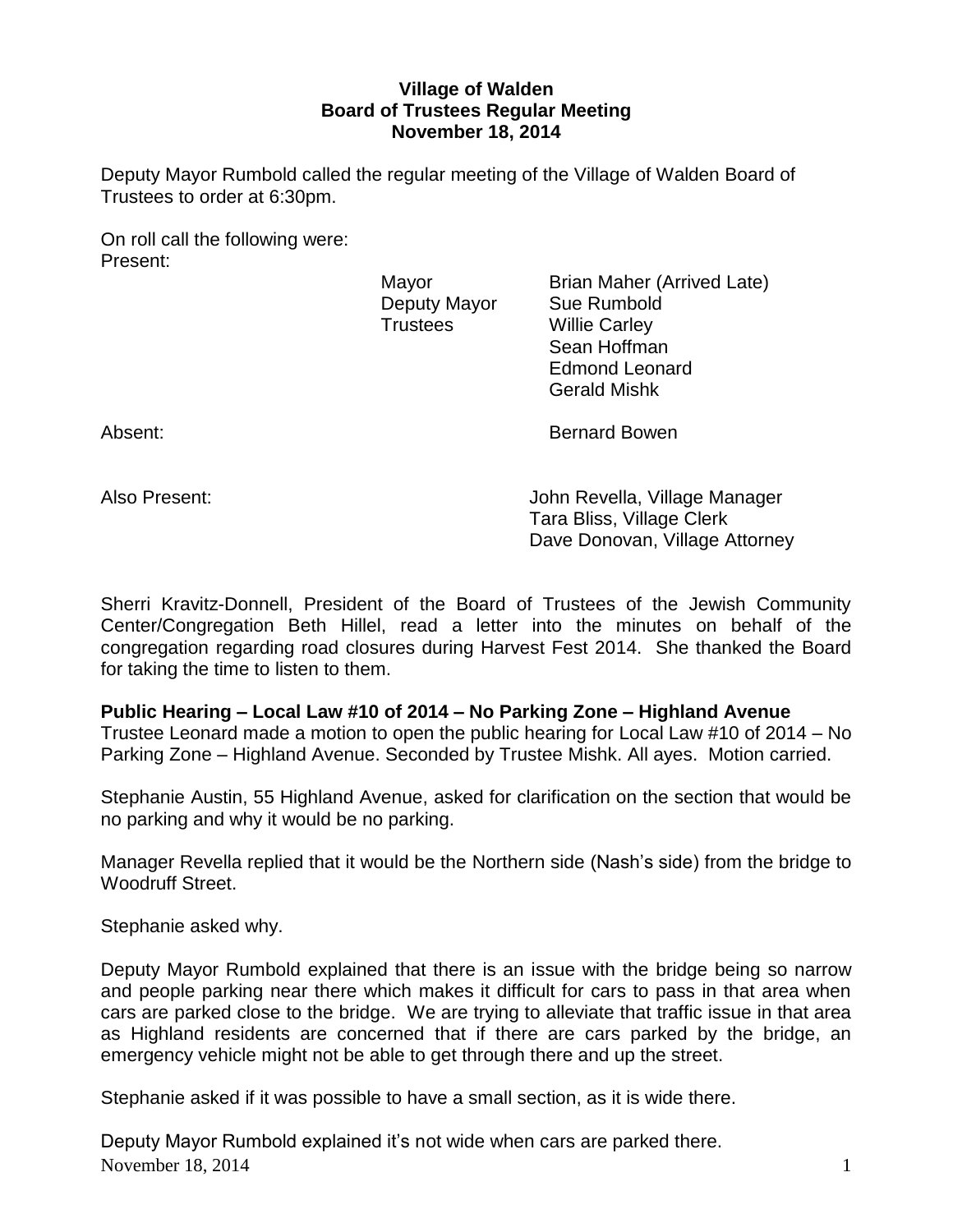## **Village of Walden Board of Trustees Regular Meeting November 18, 2014**

Deputy Mayor Rumbold called the regular meeting of the Village of Walden Board of Trustees to order at 6:30pm.

On roll call the following were: Present:

Deputy Mayor Sue Rumbold Trustees Willie Carley

Mayor **Brian Maher (Arrived Late)** Sean Hoffman Edmond Leonard Gerald Mishk

Absent: Bernard Bowen

Also Present: John Revella, Village Manager Tara Bliss, Village Clerk Dave Donovan, Village Attorney

Sherri Kravitz-Donnell, President of the Board of Trustees of the Jewish Community Center/Congregation Beth Hillel, read a letter into the minutes on behalf of the congregation regarding road closures during Harvest Fest 2014. She thanked the Board for taking the time to listen to them.

**Public Hearing – Local Law #10 of 2014 – No Parking Zone – Highland Avenue**

Trustee Leonard made a motion to open the public hearing for Local Law #10 of 2014 – No Parking Zone – Highland Avenue. Seconded by Trustee Mishk. All ayes. Motion carried.

Stephanie Austin, 55 Highland Avenue, asked for clarification on the section that would be no parking and why it would be no parking.

Manager Revella replied that it would be the Northern side (Nash's side) from the bridge to Woodruff Street.

Stephanie asked why.

Deputy Mayor Rumbold explained that there is an issue with the bridge being so narrow and people parking near there which makes it difficult for cars to pass in that area when cars are parked close to the bridge. We are trying to alleviate that traffic issue in that area as Highland residents are concerned that if there are cars parked by the bridge, an emergency vehicle might not be able to get through there and up the street.

Stephanie asked if it was possible to have a small section, as it is wide there.

November 18, 2014  $\qquad \qquad$  1 Deputy Mayor Rumbold explained it's not wide when cars are parked there.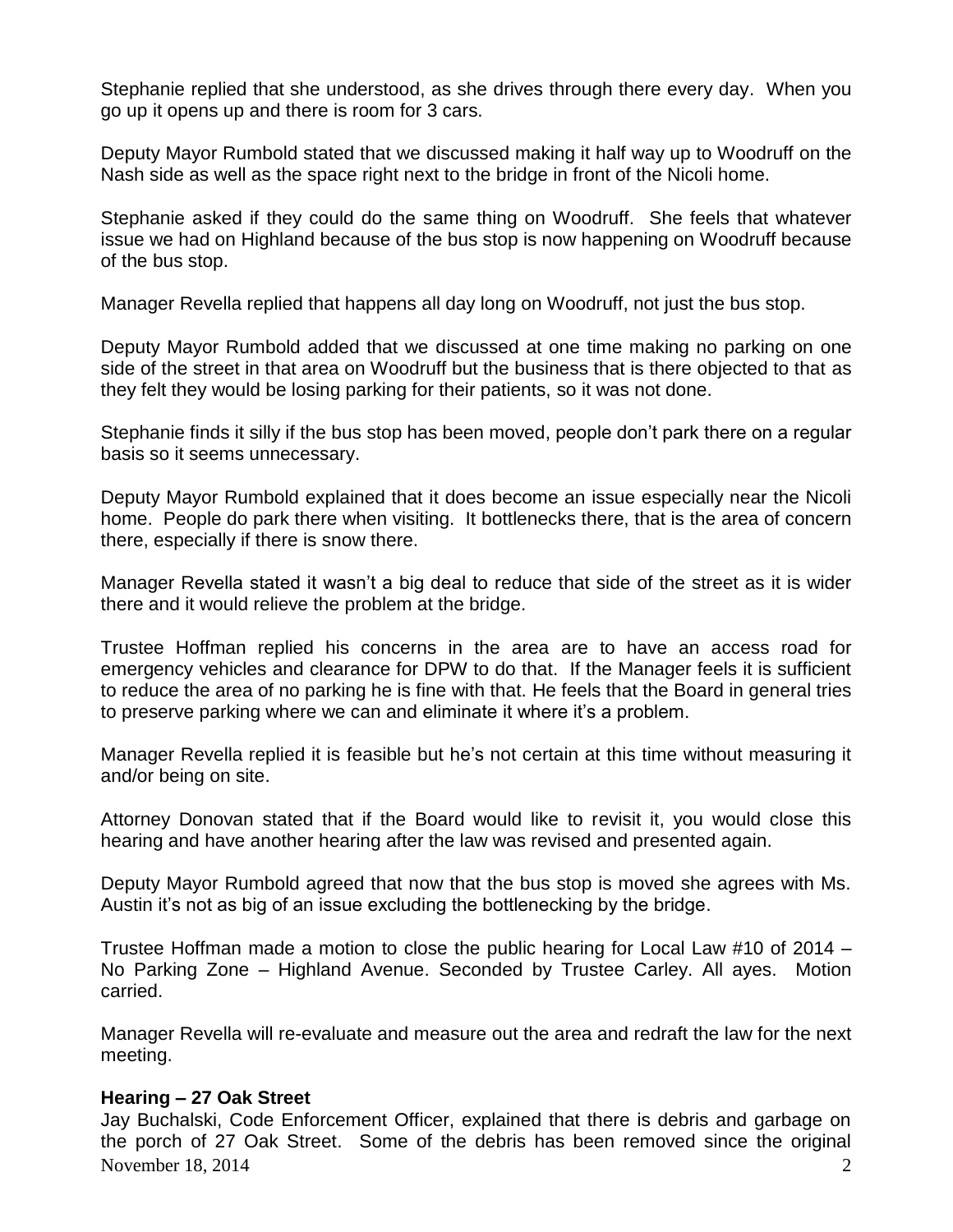Stephanie replied that she understood, as she drives through there every day. When you go up it opens up and there is room for 3 cars.

Deputy Mayor Rumbold stated that we discussed making it half way up to Woodruff on the Nash side as well as the space right next to the bridge in front of the Nicoli home.

Stephanie asked if they could do the same thing on Woodruff. She feels that whatever issue we had on Highland because of the bus stop is now happening on Woodruff because of the bus stop.

Manager Revella replied that happens all day long on Woodruff, not just the bus stop.

Deputy Mayor Rumbold added that we discussed at one time making no parking on one side of the street in that area on Woodruff but the business that is there objected to that as they felt they would be losing parking for their patients, so it was not done.

Stephanie finds it silly if the bus stop has been moved, people don't park there on a regular basis so it seems unnecessary.

Deputy Mayor Rumbold explained that it does become an issue especially near the Nicoli home. People do park there when visiting. It bottlenecks there, that is the area of concern there, especially if there is snow there.

Manager Revella stated it wasn't a big deal to reduce that side of the street as it is wider there and it would relieve the problem at the bridge.

Trustee Hoffman replied his concerns in the area are to have an access road for emergency vehicles and clearance for DPW to do that. If the Manager feels it is sufficient to reduce the area of no parking he is fine with that. He feels that the Board in general tries to preserve parking where we can and eliminate it where it's a problem.

Manager Revella replied it is feasible but he's not certain at this time without measuring it and/or being on site.

Attorney Donovan stated that if the Board would like to revisit it, you would close this hearing and have another hearing after the law was revised and presented again.

Deputy Mayor Rumbold agreed that now that the bus stop is moved she agrees with Ms. Austin it's not as big of an issue excluding the bottlenecking by the bridge.

Trustee Hoffman made a motion to close the public hearing for Local Law #10 of 2014 – No Parking Zone – Highland Avenue. Seconded by Trustee Carley. All ayes. Motion carried.

Manager Revella will re-evaluate and measure out the area and redraft the law for the next meeting.

### **Hearing – 27 Oak Street**

November 18, 2014  $\sim$  2 Jay Buchalski, Code Enforcement Officer, explained that there is debris and garbage on the porch of 27 Oak Street. Some of the debris has been removed since the original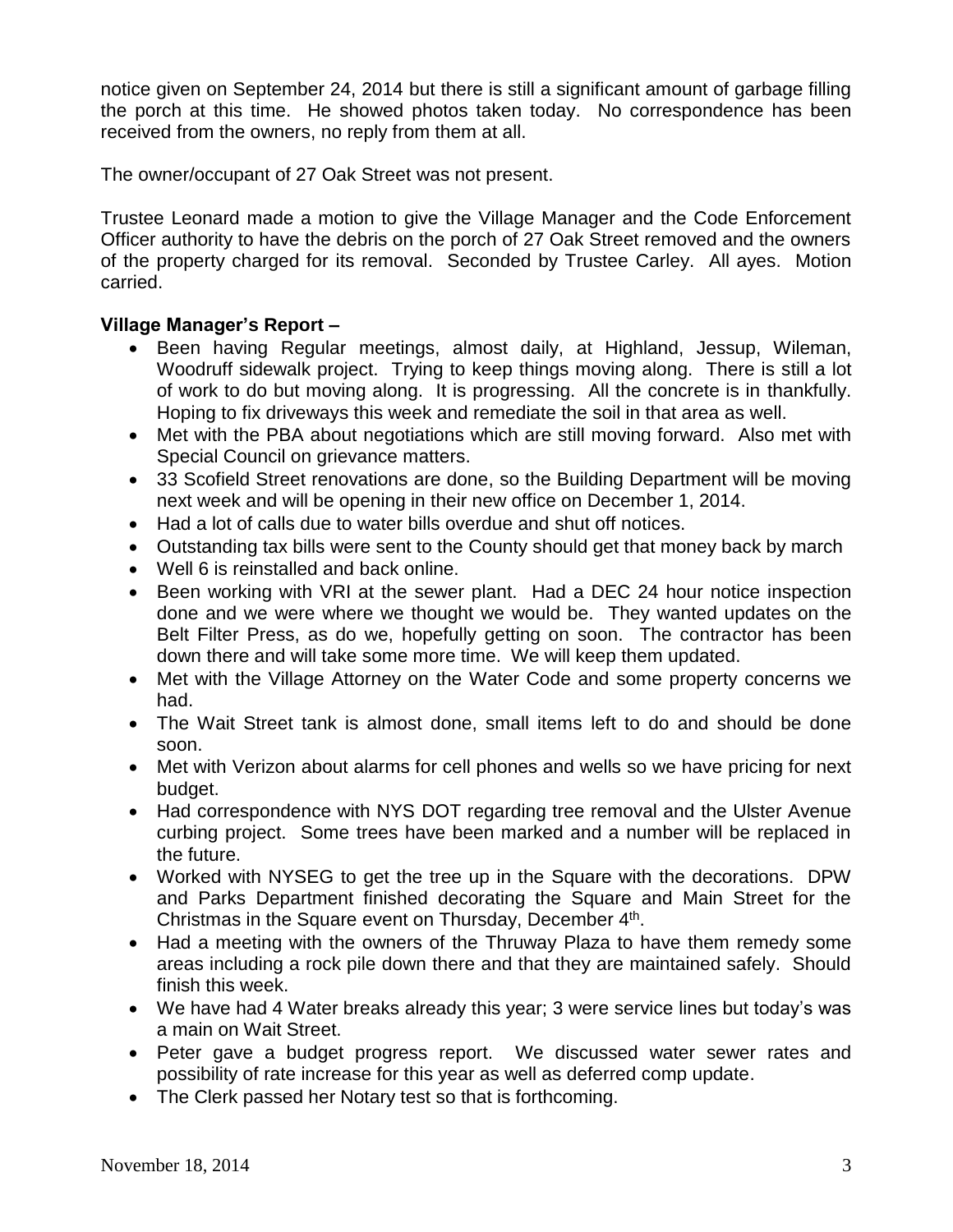notice given on September 24, 2014 but there is still a significant amount of garbage filling the porch at this time. He showed photos taken today. No correspondence has been received from the owners, no reply from them at all.

The owner/occupant of 27 Oak Street was not present.

Trustee Leonard made a motion to give the Village Manager and the Code Enforcement Officer authority to have the debris on the porch of 27 Oak Street removed and the owners of the property charged for its removal. Seconded by Trustee Carley. All ayes. Motion carried.

# **Village Manager's Report –**

- Been having Regular meetings, almost daily, at Highland, Jessup, Wileman, Woodruff sidewalk project. Trying to keep things moving along. There is still a lot of work to do but moving along. It is progressing. All the concrete is in thankfully. Hoping to fix driveways this week and remediate the soil in that area as well.
- Met with the PBA about negotiations which are still moving forward. Also met with Special Council on grievance matters.
- 33 Scofield Street renovations are done, so the Building Department will be moving next week and will be opening in their new office on December 1, 2014.
- Had a lot of calls due to water bills overdue and shut off notices.
- Outstanding tax bills were sent to the County should get that money back by march
- Well 6 is reinstalled and back online.
- Been working with VRI at the sewer plant. Had a DEC 24 hour notice inspection done and we were where we thought we would be. They wanted updates on the Belt Filter Press, as do we, hopefully getting on soon. The contractor has been down there and will take some more time. We will keep them updated.
- Met with the Village Attorney on the Water Code and some property concerns we had.
- The Wait Street tank is almost done, small items left to do and should be done soon.
- Met with Verizon about alarms for cell phones and wells so we have pricing for next budget.
- Had correspondence with NYS DOT regarding tree removal and the Ulster Avenue curbing project. Some trees have been marked and a number will be replaced in the future.
- Worked with NYSEG to get the tree up in the Square with the decorations. DPW and Parks Department finished decorating the Square and Main Street for the Christmas in the Square event on Thursday, December 4<sup>th</sup>.
- Had a meeting with the owners of the Thruway Plaza to have them remedy some areas including a rock pile down there and that they are maintained safely. Should finish this week.
- We have had 4 Water breaks already this year; 3 were service lines but today's was a main on Wait Street.
- Peter gave a budget progress report. We discussed water sewer rates and possibility of rate increase for this year as well as deferred comp update.
- The Clerk passed her Notary test so that is forthcoming.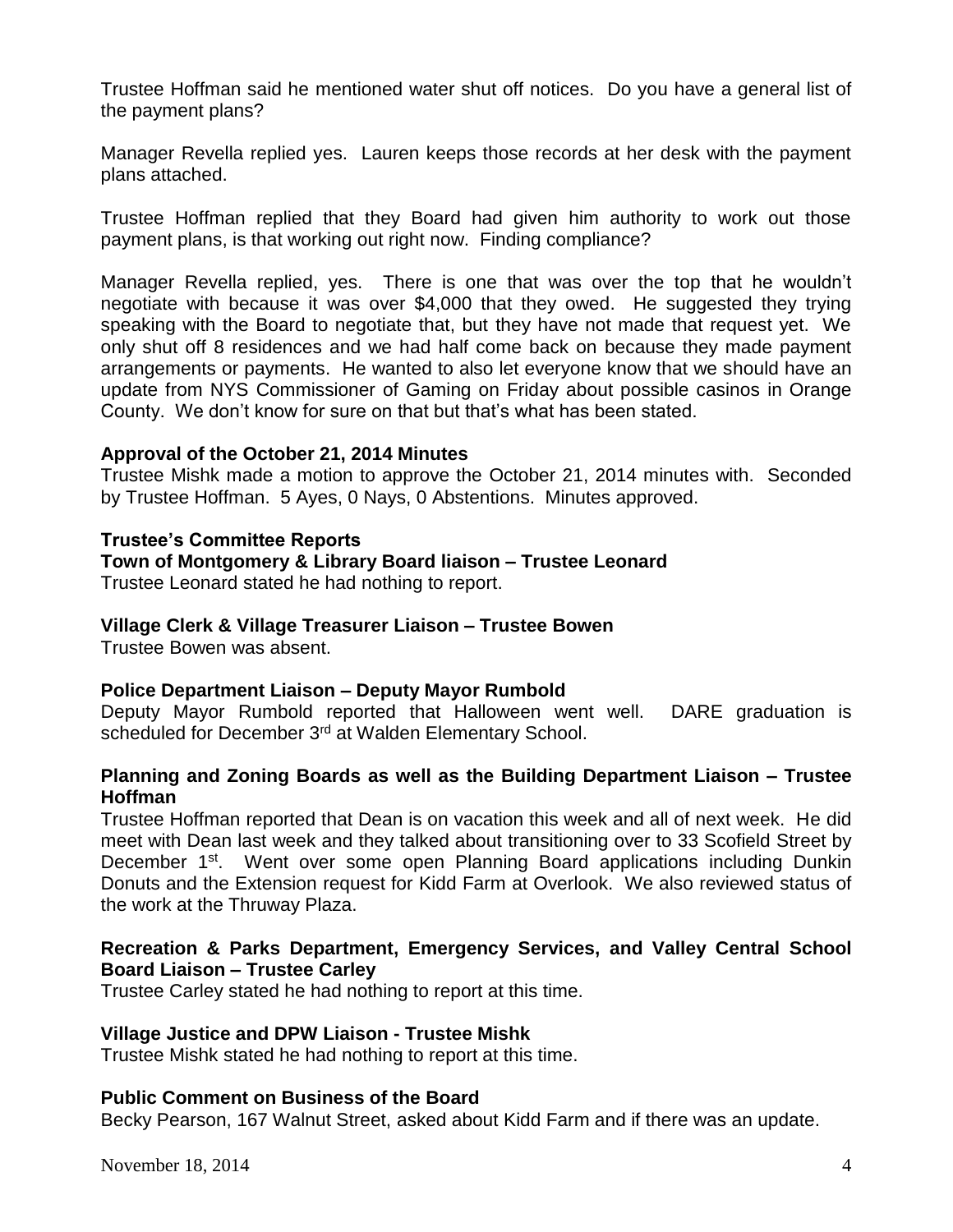Trustee Hoffman said he mentioned water shut off notices. Do you have a general list of the payment plans?

Manager Revella replied yes. Lauren keeps those records at her desk with the payment plans attached.

Trustee Hoffman replied that they Board had given him authority to work out those payment plans, is that working out right now. Finding compliance?

Manager Revella replied, yes. There is one that was over the top that he wouldn't negotiate with because it was over \$4,000 that they owed. He suggested they trying speaking with the Board to negotiate that, but they have not made that request yet. We only shut off 8 residences and we had half come back on because they made payment arrangements or payments. He wanted to also let everyone know that we should have an update from NYS Commissioner of Gaming on Friday about possible casinos in Orange County. We don't know for sure on that but that's what has been stated.

## **Approval of the October 21, 2014 Minutes**

Trustee Mishk made a motion to approve the October 21, 2014 minutes with. Seconded by Trustee Hoffman. 5 Ayes, 0 Nays, 0 Abstentions. Minutes approved.

## **Trustee's Committee Reports**

## **Town of Montgomery & Library Board liaison – Trustee Leonard**

Trustee Leonard stated he had nothing to report.

### **Village Clerk & Village Treasurer Liaison – Trustee Bowen**

Trustee Bowen was absent.

### **Police Department Liaison – Deputy Mayor Rumbold**

Deputy Mayor Rumbold reported that Halloween went well. DARE graduation is scheduled for December 3<sup>rd</sup> at Walden Elementary School.

## **Planning and Zoning Boards as well as the Building Department Liaison – Trustee Hoffman**

Trustee Hoffman reported that Dean is on vacation this week and all of next week. He did meet with Dean last week and they talked about transitioning over to 33 Scofield Street by December 1<sup>st</sup>. Went over some open Planning Board applications including Dunkin Donuts and the Extension request for Kidd Farm at Overlook. We also reviewed status of the work at the Thruway Plaza.

## **Recreation & Parks Department, Emergency Services, and Valley Central School Board Liaison – Trustee Carley**

Trustee Carley stated he had nothing to report at this time.

### **Village Justice and DPW Liaison - Trustee Mishk**

Trustee Mishk stated he had nothing to report at this time.

### **Public Comment on Business of the Board**

Becky Pearson, 167 Walnut Street, asked about Kidd Farm and if there was an update.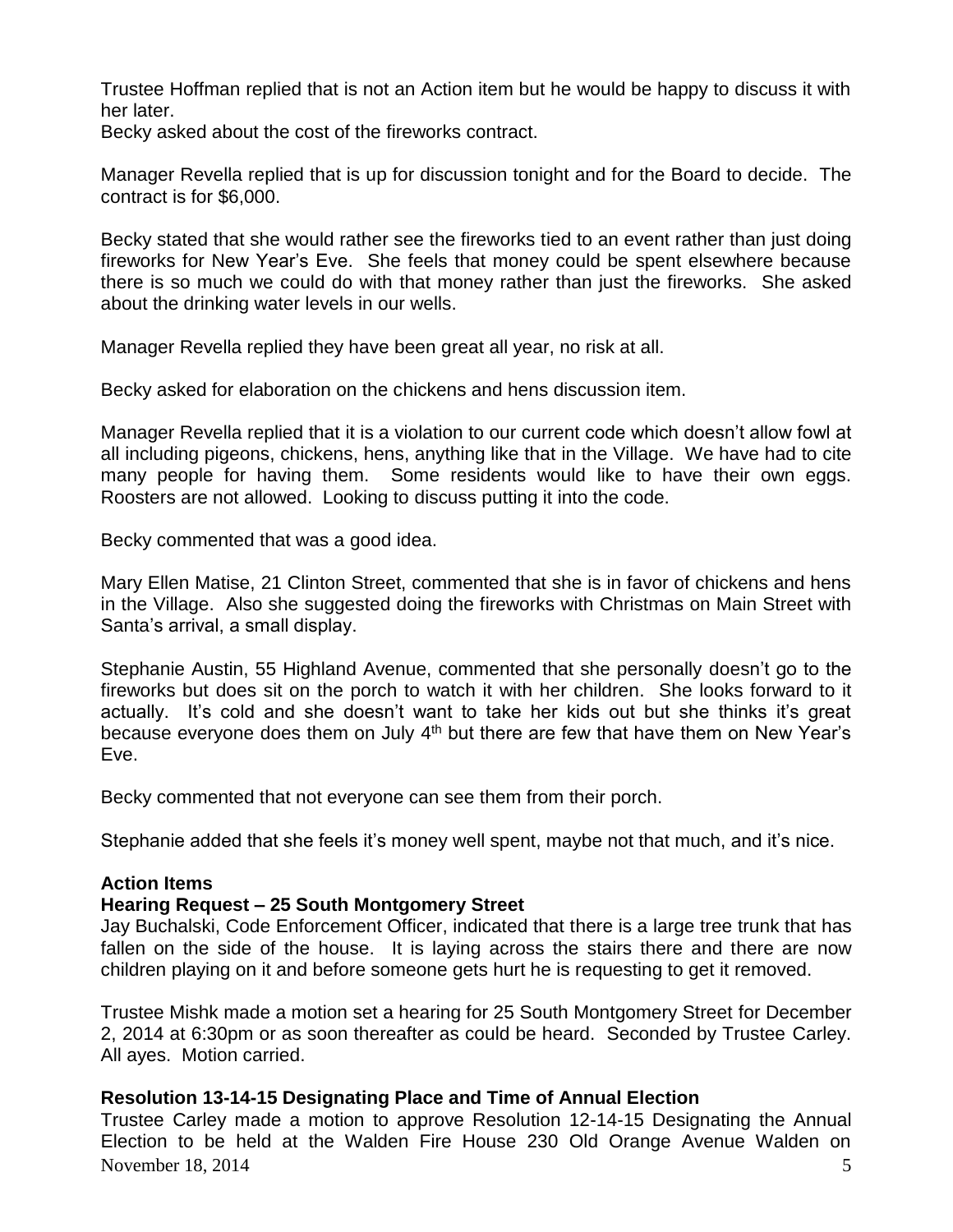Trustee Hoffman replied that is not an Action item but he would be happy to discuss it with her later.

Becky asked about the cost of the fireworks contract.

Manager Revella replied that is up for discussion tonight and for the Board to decide. The contract is for \$6,000.

Becky stated that she would rather see the fireworks tied to an event rather than just doing fireworks for New Year's Eve. She feels that money could be spent elsewhere because there is so much we could do with that money rather than just the fireworks. She asked about the drinking water levels in our wells.

Manager Revella replied they have been great all year, no risk at all.

Becky asked for elaboration on the chickens and hens discussion item.

Manager Revella replied that it is a violation to our current code which doesn't allow fowl at all including pigeons, chickens, hens, anything like that in the Village. We have had to cite many people for having them. Some residents would like to have their own eggs. Roosters are not allowed. Looking to discuss putting it into the code.

Becky commented that was a good idea.

Mary Ellen Matise, 21 Clinton Street, commented that she is in favor of chickens and hens in the Village. Also she suggested doing the fireworks with Christmas on Main Street with Santa's arrival, a small display.

Stephanie Austin, 55 Highland Avenue, commented that she personally doesn't go to the fireworks but does sit on the porch to watch it with her children. She looks forward to it actually. It's cold and she doesn't want to take her kids out but she thinks it's great because everyone does them on July  $4<sup>th</sup>$  but there are few that have them on New Year's Eve.

Becky commented that not everyone can see them from their porch.

Stephanie added that she feels it's money well spent, maybe not that much, and it's nice.

### **Action Items**

### **Hearing Request – 25 South Montgomery Street**

Jay Buchalski, Code Enforcement Officer, indicated that there is a large tree trunk that has fallen on the side of the house. It is laying across the stairs there and there are now children playing on it and before someone gets hurt he is requesting to get it removed.

Trustee Mishk made a motion set a hearing for 25 South Montgomery Street for December 2, 2014 at 6:30pm or as soon thereafter as could be heard. Seconded by Trustee Carley. All ayes. Motion carried.

## **Resolution 13-14-15 Designating Place and Time of Annual Election**

November 18, 2014  $\overline{5}$ Trustee Carley made a motion to approve Resolution 12-14-15 Designating the Annual Election to be held at the Walden Fire House 230 Old Orange Avenue Walden on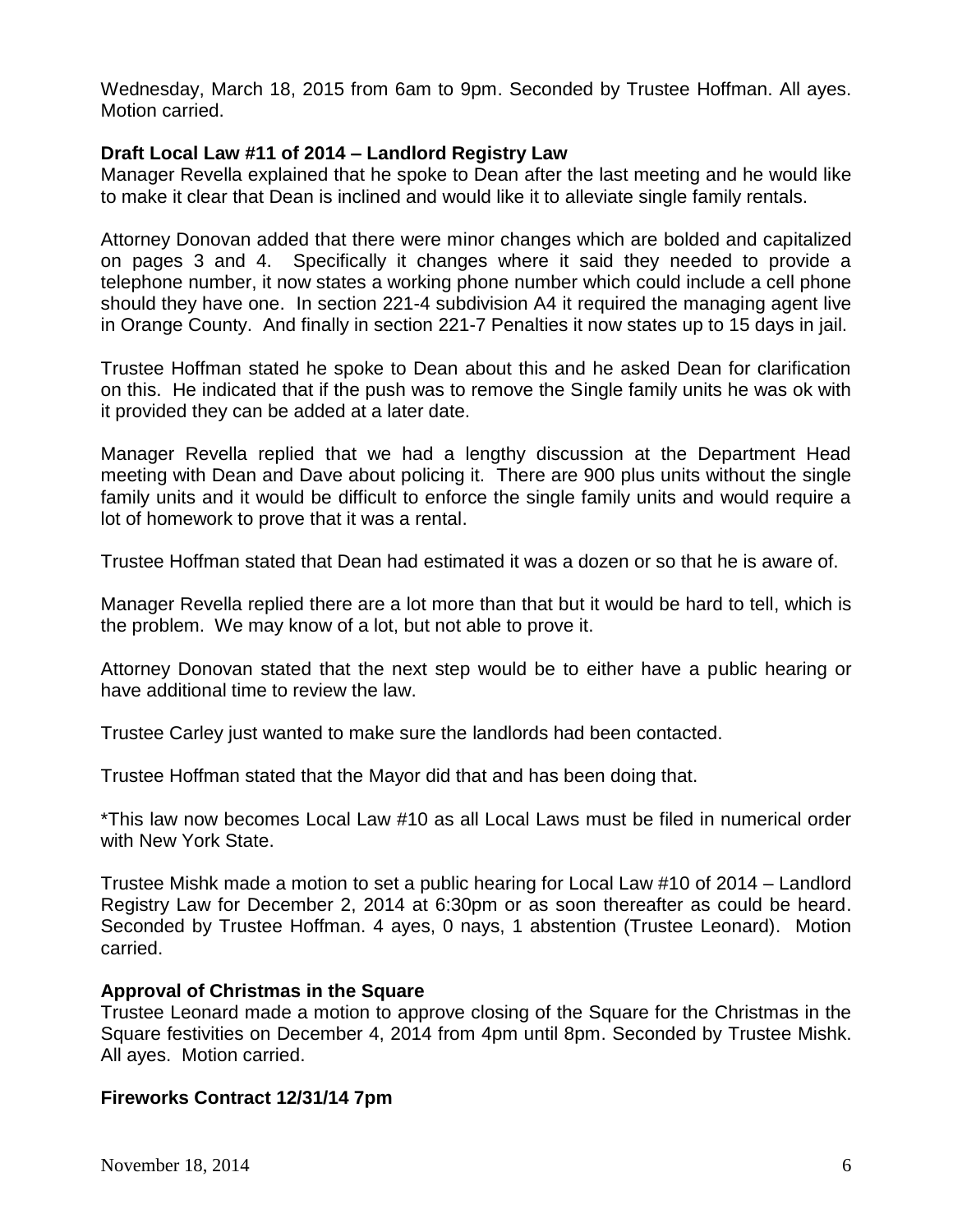Wednesday, March 18, 2015 from 6am to 9pm. Seconded by Trustee Hoffman. All ayes. Motion carried.

## **Draft Local Law #11 of 2014 – Landlord Registry Law**

Manager Revella explained that he spoke to Dean after the last meeting and he would like to make it clear that Dean is inclined and would like it to alleviate single family rentals.

Attorney Donovan added that there were minor changes which are bolded and capitalized on pages 3 and 4. Specifically it changes where it said they needed to provide a telephone number, it now states a working phone number which could include a cell phone should they have one. In section 221-4 subdivision A4 it required the managing agent live in Orange County. And finally in section 221-7 Penalties it now states up to 15 days in jail.

Trustee Hoffman stated he spoke to Dean about this and he asked Dean for clarification on this. He indicated that if the push was to remove the Single family units he was ok with it provided they can be added at a later date.

Manager Revella replied that we had a lengthy discussion at the Department Head meeting with Dean and Dave about policing it. There are 900 plus units without the single family units and it would be difficult to enforce the single family units and would require a lot of homework to prove that it was a rental.

Trustee Hoffman stated that Dean had estimated it was a dozen or so that he is aware of.

Manager Revella replied there are a lot more than that but it would be hard to tell, which is the problem. We may know of a lot, but not able to prove it.

Attorney Donovan stated that the next step would be to either have a public hearing or have additional time to review the law.

Trustee Carley just wanted to make sure the landlords had been contacted.

Trustee Hoffman stated that the Mayor did that and has been doing that.

\*This law now becomes Local Law #10 as all Local Laws must be filed in numerical order with New York State.

Trustee Mishk made a motion to set a public hearing for Local Law #10 of 2014 – Landlord Registry Law for December 2, 2014 at 6:30pm or as soon thereafter as could be heard. Seconded by Trustee Hoffman. 4 ayes, 0 nays, 1 abstention (Trustee Leonard). Motion carried.

## **Approval of Christmas in the Square**

Trustee Leonard made a motion to approve closing of the Square for the Christmas in the Square festivities on December 4, 2014 from 4pm until 8pm. Seconded by Trustee Mishk. All ayes. Motion carried.

## **Fireworks Contract 12/31/14 7pm**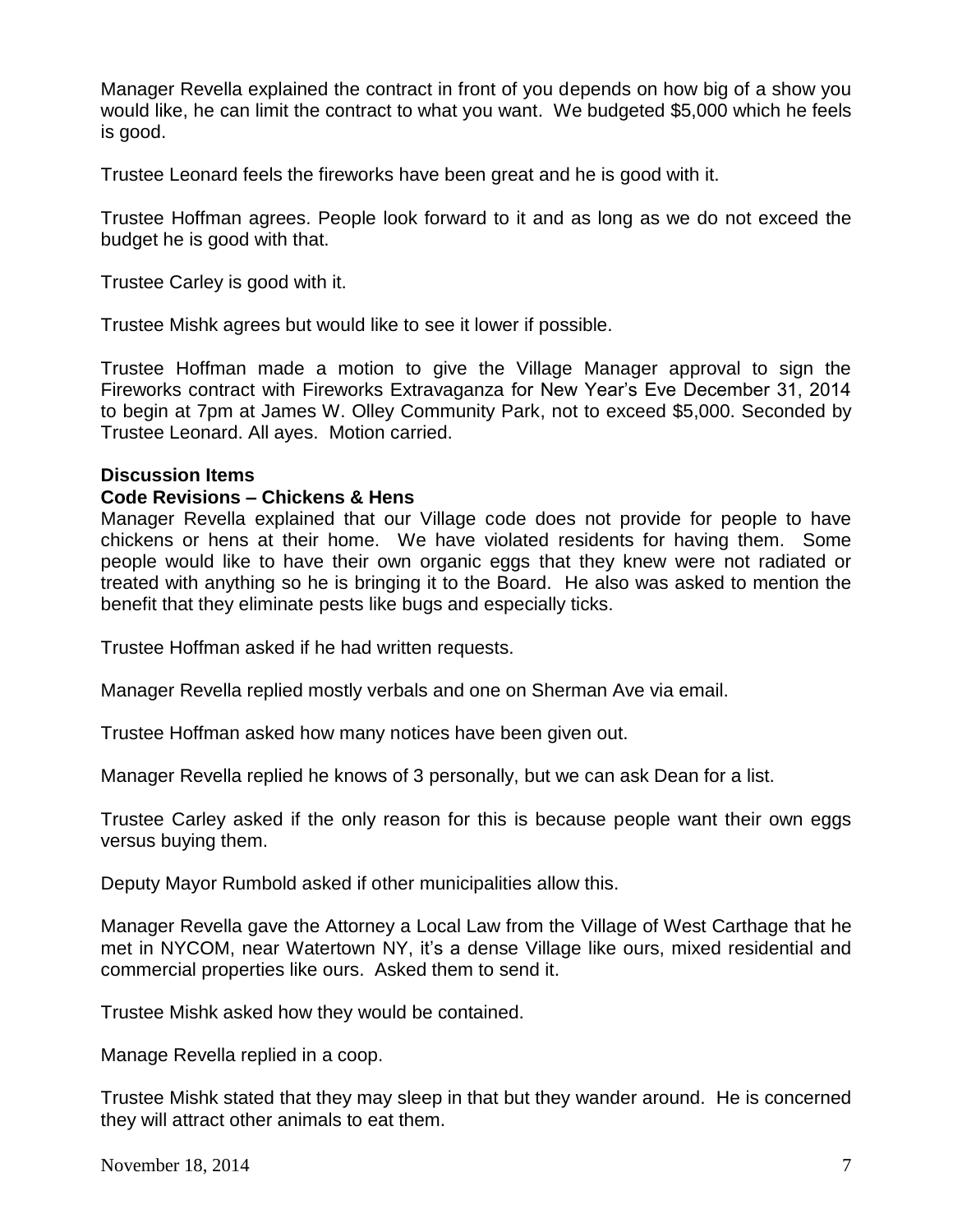Manager Revella explained the contract in front of you depends on how big of a show you would like, he can limit the contract to what you want. We budgeted \$5,000 which he feels is good.

Trustee Leonard feels the fireworks have been great and he is good with it.

Trustee Hoffman agrees. People look forward to it and as long as we do not exceed the budget he is good with that.

Trustee Carley is good with it.

Trustee Mishk agrees but would like to see it lower if possible.

Trustee Hoffman made a motion to give the Village Manager approval to sign the Fireworks contract with Fireworks Extravaganza for New Year's Eve December 31, 2014 to begin at 7pm at James W. Olley Community Park, not to exceed \$5,000. Seconded by Trustee Leonard. All ayes. Motion carried.

### **Discussion Items**

### **Code Revisions – Chickens & Hens**

Manager Revella explained that our Village code does not provide for people to have chickens or hens at their home. We have violated residents for having them. Some people would like to have their own organic eggs that they knew were not radiated or treated with anything so he is bringing it to the Board. He also was asked to mention the benefit that they eliminate pests like bugs and especially ticks.

Trustee Hoffman asked if he had written requests.

Manager Revella replied mostly verbals and one on Sherman Ave via email.

Trustee Hoffman asked how many notices have been given out.

Manager Revella replied he knows of 3 personally, but we can ask Dean for a list.

Trustee Carley asked if the only reason for this is because people want their own eggs versus buying them.

Deputy Mayor Rumbold asked if other municipalities allow this.

Manager Revella gave the Attorney a Local Law from the Village of West Carthage that he met in NYCOM, near Watertown NY, it's a dense Village like ours, mixed residential and commercial properties like ours. Asked them to send it.

Trustee Mishk asked how they would be contained.

Manage Revella replied in a coop.

Trustee Mishk stated that they may sleep in that but they wander around. He is concerned they will attract other animals to eat them.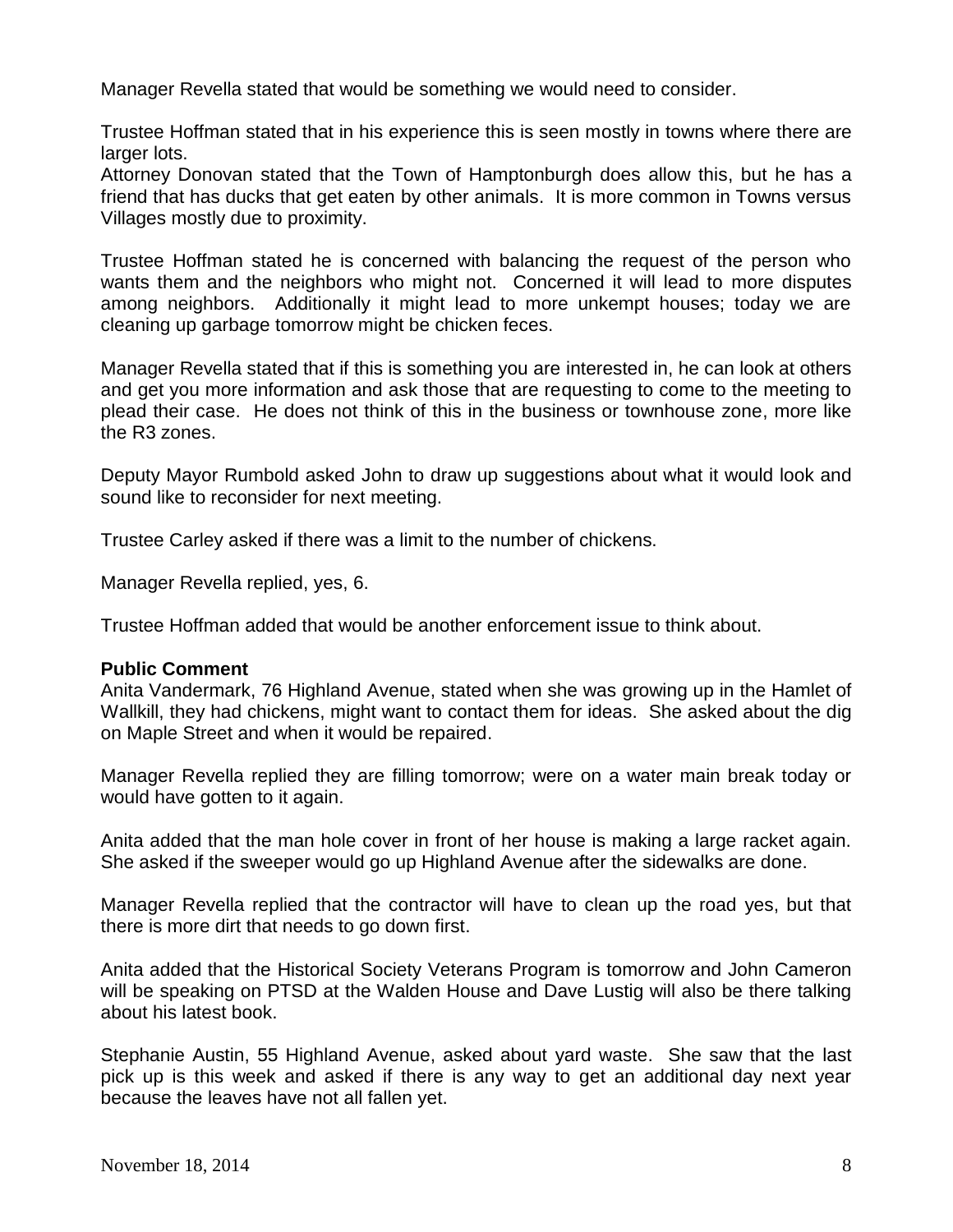Manager Revella stated that would be something we would need to consider.

Trustee Hoffman stated that in his experience this is seen mostly in towns where there are larger lots.

Attorney Donovan stated that the Town of Hamptonburgh does allow this, but he has a friend that has ducks that get eaten by other animals. It is more common in Towns versus Villages mostly due to proximity.

Trustee Hoffman stated he is concerned with balancing the request of the person who wants them and the neighbors who might not. Concerned it will lead to more disputes among neighbors. Additionally it might lead to more unkempt houses; today we are cleaning up garbage tomorrow might be chicken feces.

Manager Revella stated that if this is something you are interested in, he can look at others and get you more information and ask those that are requesting to come to the meeting to plead their case. He does not think of this in the business or townhouse zone, more like the R3 zones.

Deputy Mayor Rumbold asked John to draw up suggestions about what it would look and sound like to reconsider for next meeting.

Trustee Carley asked if there was a limit to the number of chickens.

Manager Revella replied, yes, 6.

Trustee Hoffman added that would be another enforcement issue to think about.

#### **Public Comment**

Anita Vandermark, 76 Highland Avenue, stated when she was growing up in the Hamlet of Wallkill, they had chickens, might want to contact them for ideas. She asked about the dig on Maple Street and when it would be repaired.

Manager Revella replied they are filling tomorrow; were on a water main break today or would have gotten to it again.

Anita added that the man hole cover in front of her house is making a large racket again. She asked if the sweeper would go up Highland Avenue after the sidewalks are done.

Manager Revella replied that the contractor will have to clean up the road yes, but that there is more dirt that needs to go down first.

Anita added that the Historical Society Veterans Program is tomorrow and John Cameron will be speaking on PTSD at the Walden House and Dave Lustig will also be there talking about his latest book.

Stephanie Austin, 55 Highland Avenue, asked about yard waste. She saw that the last pick up is this week and asked if there is any way to get an additional day next year because the leaves have not all fallen yet.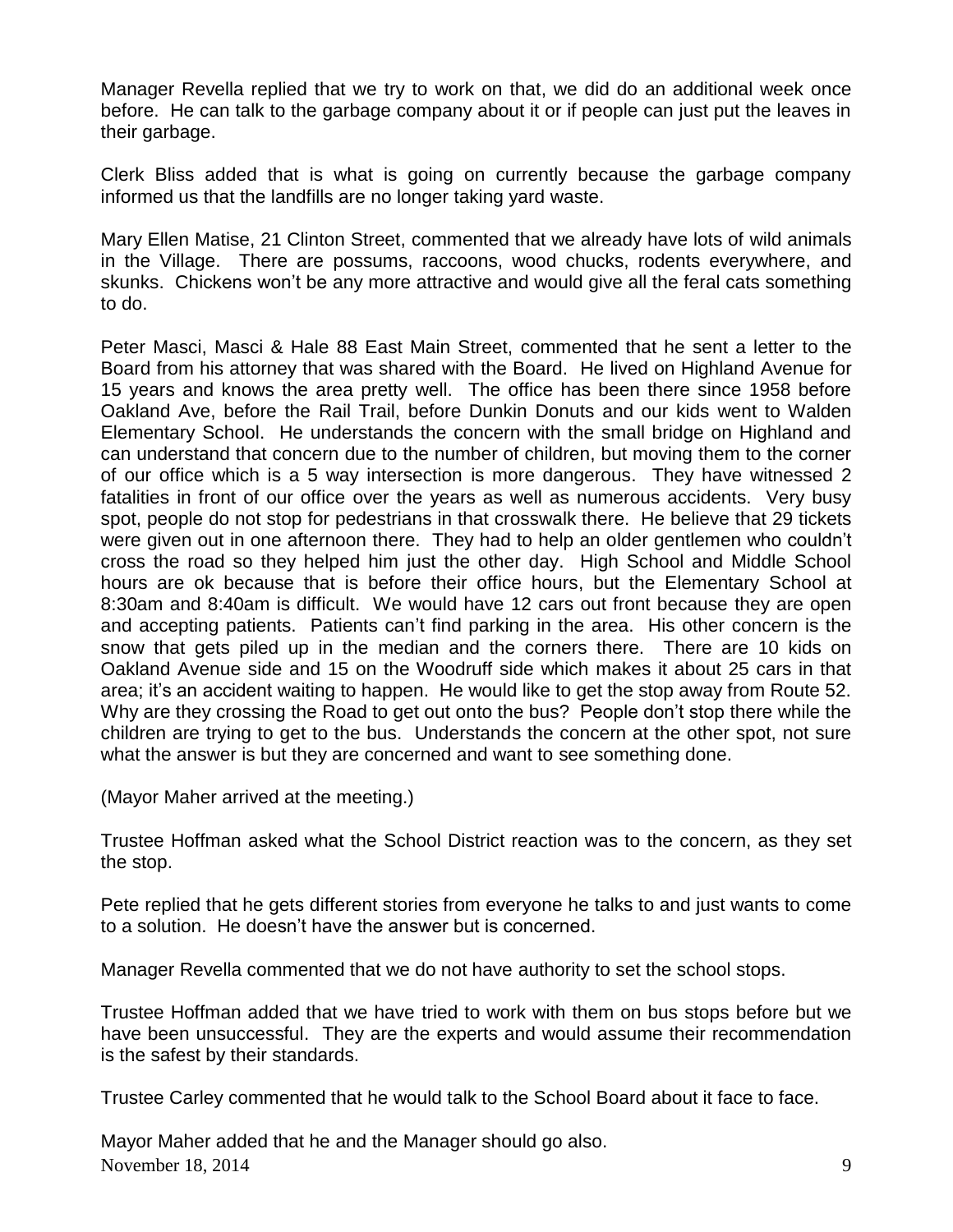Manager Revella replied that we try to work on that, we did do an additional week once before. He can talk to the garbage company about it or if people can just put the leaves in their garbage.

Clerk Bliss added that is what is going on currently because the garbage company informed us that the landfills are no longer taking yard waste.

Mary Ellen Matise, 21 Clinton Street, commented that we already have lots of wild animals in the Village. There are possums, raccoons, wood chucks, rodents everywhere, and skunks. Chickens won't be any more attractive and would give all the feral cats something to do.

Peter Masci, Masci & Hale 88 East Main Street, commented that he sent a letter to the Board from his attorney that was shared with the Board. He lived on Highland Avenue for 15 years and knows the area pretty well. The office has been there since 1958 before Oakland Ave, before the Rail Trail, before Dunkin Donuts and our kids went to Walden Elementary School. He understands the concern with the small bridge on Highland and can understand that concern due to the number of children, but moving them to the corner of our office which is a 5 way intersection is more dangerous. They have witnessed 2 fatalities in front of our office over the years as well as numerous accidents. Very busy spot, people do not stop for pedestrians in that crosswalk there. He believe that 29 tickets were given out in one afternoon there. They had to help an older gentlemen who couldn't cross the road so they helped him just the other day. High School and Middle School hours are ok because that is before their office hours, but the Elementary School at 8:30am and 8:40am is difficult. We would have 12 cars out front because they are open and accepting patients. Patients can't find parking in the area. His other concern is the snow that gets piled up in the median and the corners there. There are 10 kids on Oakland Avenue side and 15 on the Woodruff side which makes it about 25 cars in that area; it's an accident waiting to happen. He would like to get the stop away from Route 52. Why are they crossing the Road to get out onto the bus? People don't stop there while the children are trying to get to the bus. Understands the concern at the other spot, not sure what the answer is but they are concerned and want to see something done.

(Mayor Maher arrived at the meeting.)

Trustee Hoffman asked what the School District reaction was to the concern, as they set the stop.

Pete replied that he gets different stories from everyone he talks to and just wants to come to a solution. He doesn't have the answer but is concerned.

Manager Revella commented that we do not have authority to set the school stops.

Trustee Hoffman added that we have tried to work with them on bus stops before but we have been unsuccessful. They are the experts and would assume their recommendation is the safest by their standards.

Trustee Carley commented that he would talk to the School Board about it face to face.

November 18, 2014  $\qquad \qquad$  9 Mayor Maher added that he and the Manager should go also.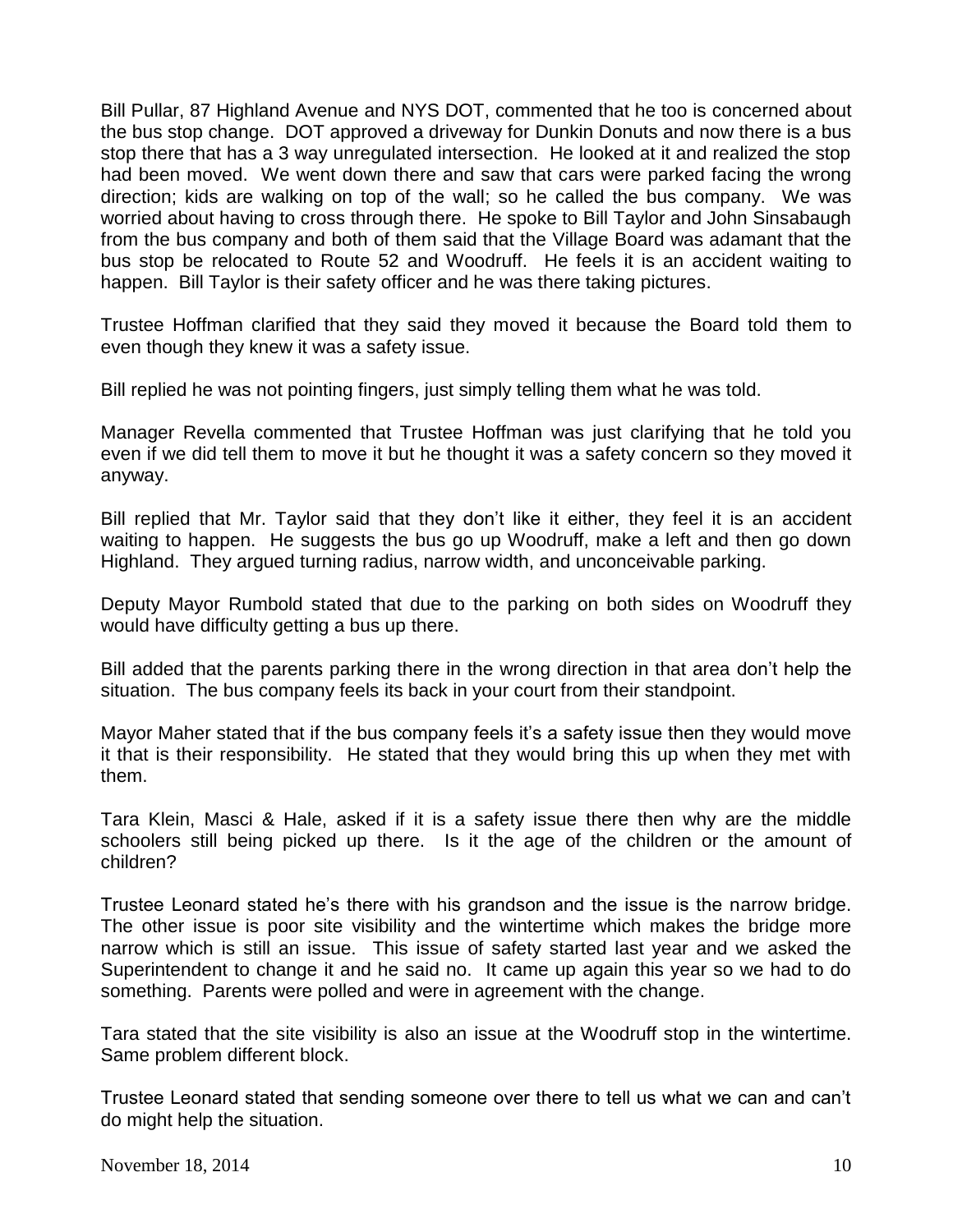Bill Pullar, 87 Highland Avenue and NYS DOT, commented that he too is concerned about the bus stop change. DOT approved a driveway for Dunkin Donuts and now there is a bus stop there that has a 3 way unregulated intersection. He looked at it and realized the stop had been moved. We went down there and saw that cars were parked facing the wrong direction; kids are walking on top of the wall; so he called the bus company. We was worried about having to cross through there. He spoke to Bill Taylor and John Sinsabaugh from the bus company and both of them said that the Village Board was adamant that the bus stop be relocated to Route 52 and Woodruff. He feels it is an accident waiting to happen. Bill Taylor is their safety officer and he was there taking pictures.

Trustee Hoffman clarified that they said they moved it because the Board told them to even though they knew it was a safety issue.

Bill replied he was not pointing fingers, just simply telling them what he was told.

Manager Revella commented that Trustee Hoffman was just clarifying that he told you even if we did tell them to move it but he thought it was a safety concern so they moved it anyway.

Bill replied that Mr. Taylor said that they don't like it either, they feel it is an accident waiting to happen. He suggests the bus go up Woodruff, make a left and then go down Highland. They argued turning radius, narrow width, and unconceivable parking.

Deputy Mayor Rumbold stated that due to the parking on both sides on Woodruff they would have difficulty getting a bus up there.

Bill added that the parents parking there in the wrong direction in that area don't help the situation. The bus company feels its back in your court from their standpoint.

Mayor Maher stated that if the bus company feels it's a safety issue then they would move it that is their responsibility. He stated that they would bring this up when they met with them.

Tara Klein, Masci & Hale, asked if it is a safety issue there then why are the middle schoolers still being picked up there. Is it the age of the children or the amount of children?

Trustee Leonard stated he's there with his grandson and the issue is the narrow bridge. The other issue is poor site visibility and the wintertime which makes the bridge more narrow which is still an issue. This issue of safety started last year and we asked the Superintendent to change it and he said no. It came up again this year so we had to do something. Parents were polled and were in agreement with the change.

Tara stated that the site visibility is also an issue at the Woodruff stop in the wintertime. Same problem different block.

Trustee Leonard stated that sending someone over there to tell us what we can and can't do might help the situation.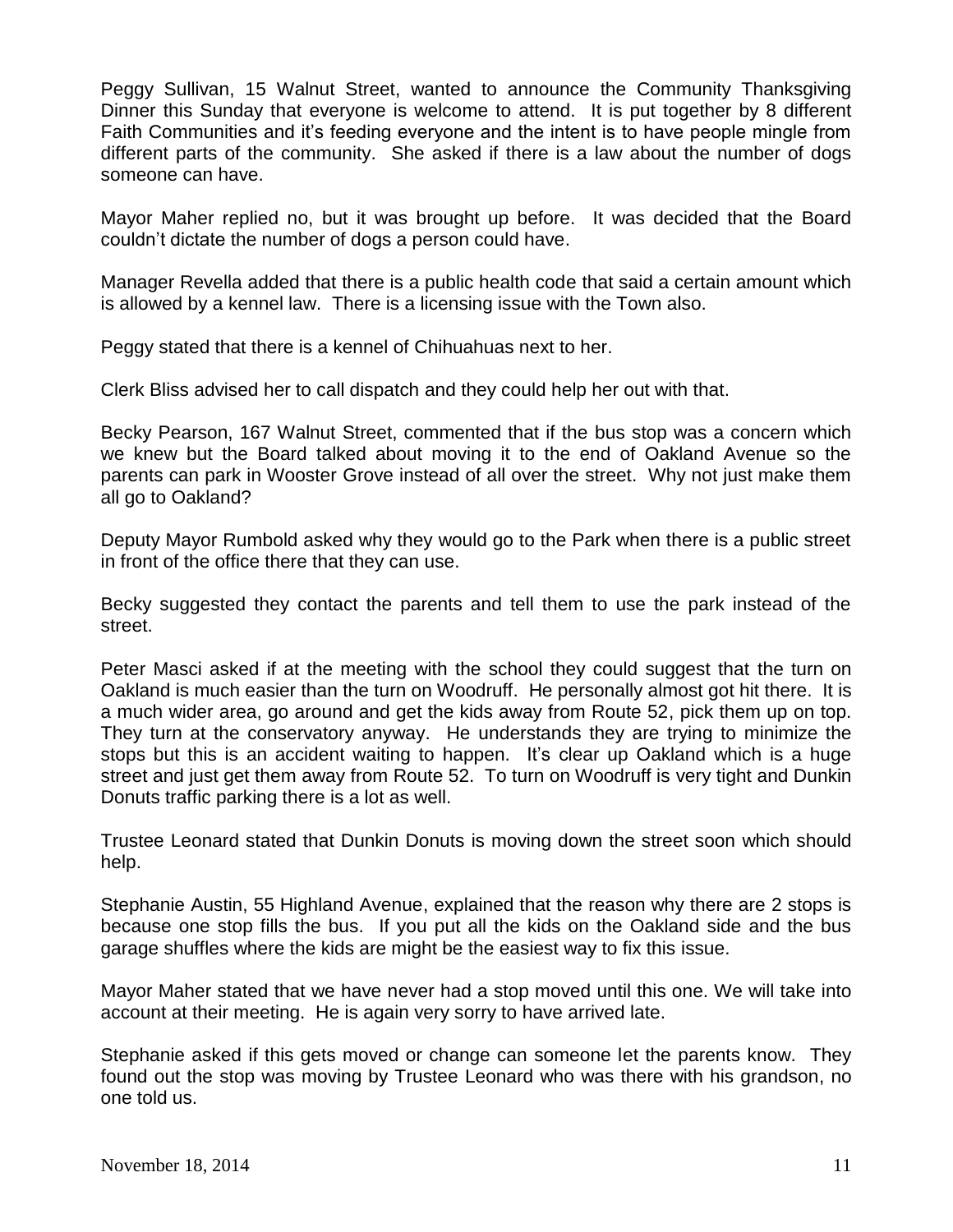Peggy Sullivan, 15 Walnut Street, wanted to announce the Community Thanksgiving Dinner this Sunday that everyone is welcome to attend. It is put together by 8 different Faith Communities and it's feeding everyone and the intent is to have people mingle from different parts of the community. She asked if there is a law about the number of dogs someone can have.

Mayor Maher replied no, but it was brought up before. It was decided that the Board couldn't dictate the number of dogs a person could have.

Manager Revella added that there is a public health code that said a certain amount which is allowed by a kennel law. There is a licensing issue with the Town also.

Peggy stated that there is a kennel of Chihuahuas next to her.

Clerk Bliss advised her to call dispatch and they could help her out with that.

Becky Pearson, 167 Walnut Street, commented that if the bus stop was a concern which we knew but the Board talked about moving it to the end of Oakland Avenue so the parents can park in Wooster Grove instead of all over the street. Why not just make them all go to Oakland?

Deputy Mayor Rumbold asked why they would go to the Park when there is a public street in front of the office there that they can use.

Becky suggested they contact the parents and tell them to use the park instead of the street.

Peter Masci asked if at the meeting with the school they could suggest that the turn on Oakland is much easier than the turn on Woodruff. He personally almost got hit there. It is a much wider area, go around and get the kids away from Route 52, pick them up on top. They turn at the conservatory anyway. He understands they are trying to minimize the stops but this is an accident waiting to happen. It's clear up Oakland which is a huge street and just get them away from Route 52. To turn on Woodruff is very tight and Dunkin Donuts traffic parking there is a lot as well.

Trustee Leonard stated that Dunkin Donuts is moving down the street soon which should help.

Stephanie Austin, 55 Highland Avenue, explained that the reason why there are 2 stops is because one stop fills the bus. If you put all the kids on the Oakland side and the bus garage shuffles where the kids are might be the easiest way to fix this issue.

Mayor Maher stated that we have never had a stop moved until this one. We will take into account at their meeting. He is again very sorry to have arrived late.

Stephanie asked if this gets moved or change can someone let the parents know. They found out the stop was moving by Trustee Leonard who was there with his grandson, no one told us.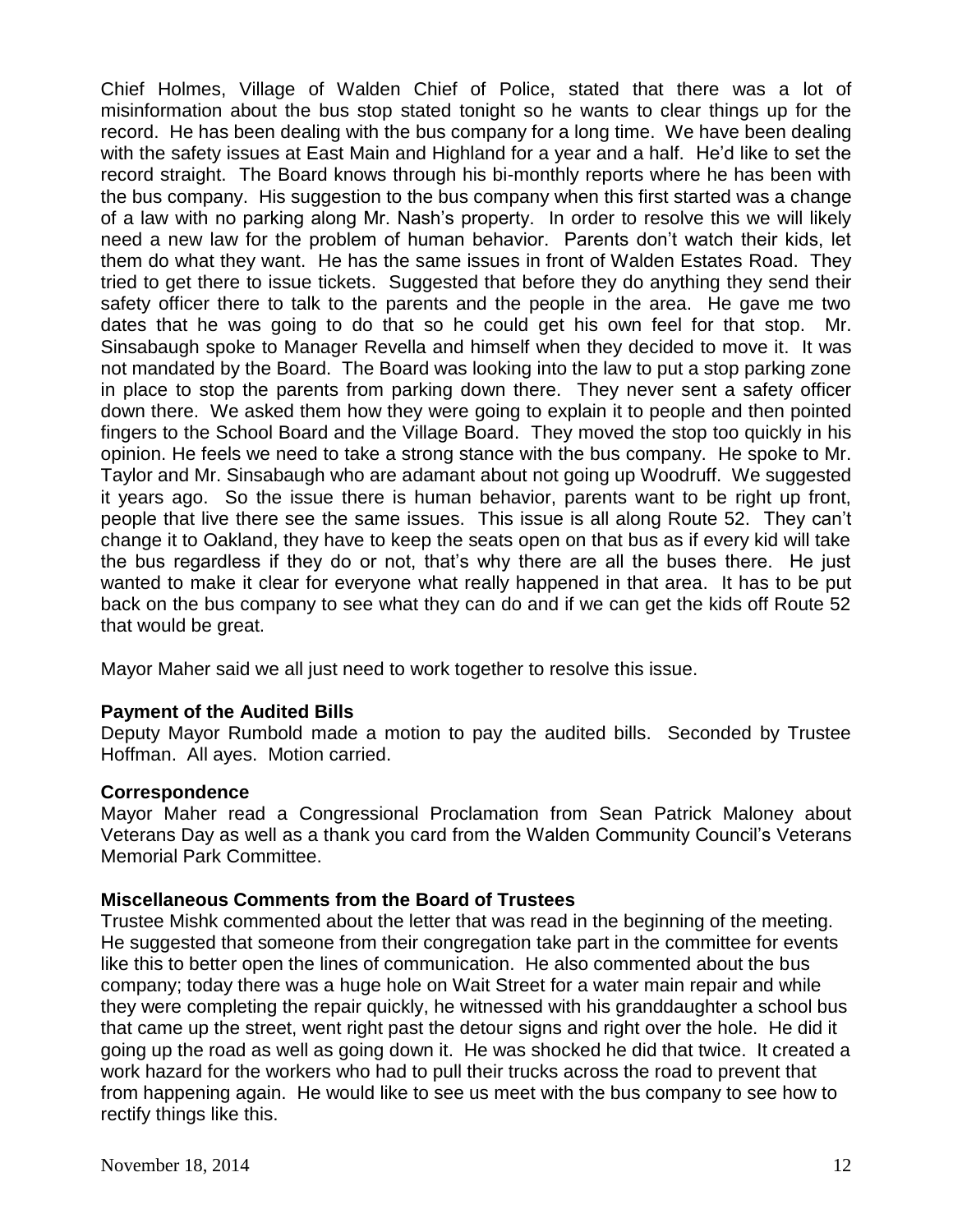Chief Holmes, Village of Walden Chief of Police, stated that there was a lot of misinformation about the bus stop stated tonight so he wants to clear things up for the record. He has been dealing with the bus company for a long time. We have been dealing with the safety issues at East Main and Highland for a year and a half. He'd like to set the record straight. The Board knows through his bi-monthly reports where he has been with the bus company. His suggestion to the bus company when this first started was a change of a law with no parking along Mr. Nash's property. In order to resolve this we will likely need a new law for the problem of human behavior. Parents don't watch their kids, let them do what they want. He has the same issues in front of Walden Estates Road. They tried to get there to issue tickets. Suggested that before they do anything they send their safety officer there to talk to the parents and the people in the area. He gave me two dates that he was going to do that so he could get his own feel for that stop. Mr. Sinsabaugh spoke to Manager Revella and himself when they decided to move it. It was not mandated by the Board. The Board was looking into the law to put a stop parking zone in place to stop the parents from parking down there. They never sent a safety officer down there. We asked them how they were going to explain it to people and then pointed fingers to the School Board and the Village Board. They moved the stop too quickly in his opinion. He feels we need to take a strong stance with the bus company. He spoke to Mr. Taylor and Mr. Sinsabaugh who are adamant about not going up Woodruff. We suggested it years ago. So the issue there is human behavior, parents want to be right up front, people that live there see the same issues. This issue is all along Route 52. They can't change it to Oakland, they have to keep the seats open on that bus as if every kid will take the bus regardless if they do or not, that's why there are all the buses there. He just wanted to make it clear for everyone what really happened in that area. It has to be put back on the bus company to see what they can do and if we can get the kids off Route 52 that would be great.

Mayor Maher said we all just need to work together to resolve this issue.

## **Payment of the Audited Bills**

Deputy Mayor Rumbold made a motion to pay the audited bills. Seconded by Trustee Hoffman. All ayes. Motion carried.

### **Correspondence**

Mayor Maher read a Congressional Proclamation from Sean Patrick Maloney about Veterans Day as well as a thank you card from the Walden Community Council's Veterans Memorial Park Committee.

### **Miscellaneous Comments from the Board of Trustees**

Trustee Mishk commented about the letter that was read in the beginning of the meeting. He suggested that someone from their congregation take part in the committee for events like this to better open the lines of communication. He also commented about the bus company; today there was a huge hole on Wait Street for a water main repair and while they were completing the repair quickly, he witnessed with his granddaughter a school bus that came up the street, went right past the detour signs and right over the hole. He did it going up the road as well as going down it. He was shocked he did that twice. It created a work hazard for the workers who had to pull their trucks across the road to prevent that from happening again. He would like to see us meet with the bus company to see how to rectify things like this.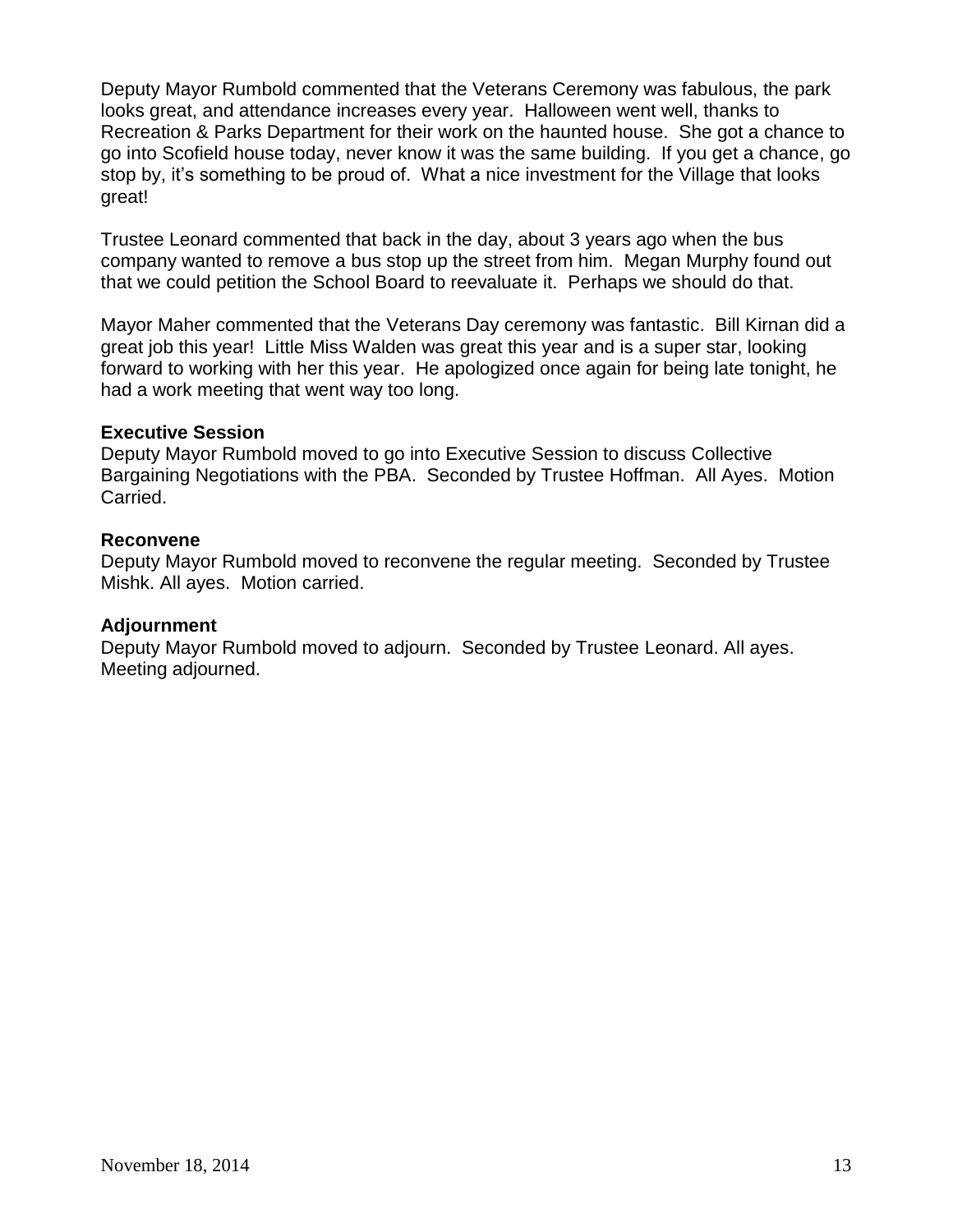Deputy Mayor Rumbold commented that the Veterans Ceremony was fabulous, the park looks great, and attendance increases every year. Halloween went well, thanks to Recreation & Parks Department for their work on the haunted house. She got a chance to go into Scofield house today, never know it was the same building. If you get a chance, go stop by, it's something to be proud of. What a nice investment for the Village that looks great!

Trustee Leonard commented that back in the day, about 3 years ago when the bus company wanted to remove a bus stop up the street from him. Megan Murphy found out that we could petition the School Board to reevaluate it. Perhaps we should do that.

Mayor Maher commented that the Veterans Day ceremony was fantastic. Bill Kirnan did a great job this year! Little Miss Walden was great this year and is a super star, looking forward to working with her this year. He apologized once again for being late tonight, he had a work meeting that went way too long.

## **Executive Session**

Deputy Mayor Rumbold moved to go into Executive Session to discuss Collective Bargaining Negotiations with the PBA. Seconded by Trustee Hoffman. All Ayes. Motion Carried.

## **Reconvene**

Deputy Mayor Rumbold moved to reconvene the regular meeting. Seconded by Trustee Mishk. All ayes. Motion carried.

### **Adjournment**

Deputy Mayor Rumbold moved to adjourn. Seconded by Trustee Leonard. All ayes. Meeting adjourned.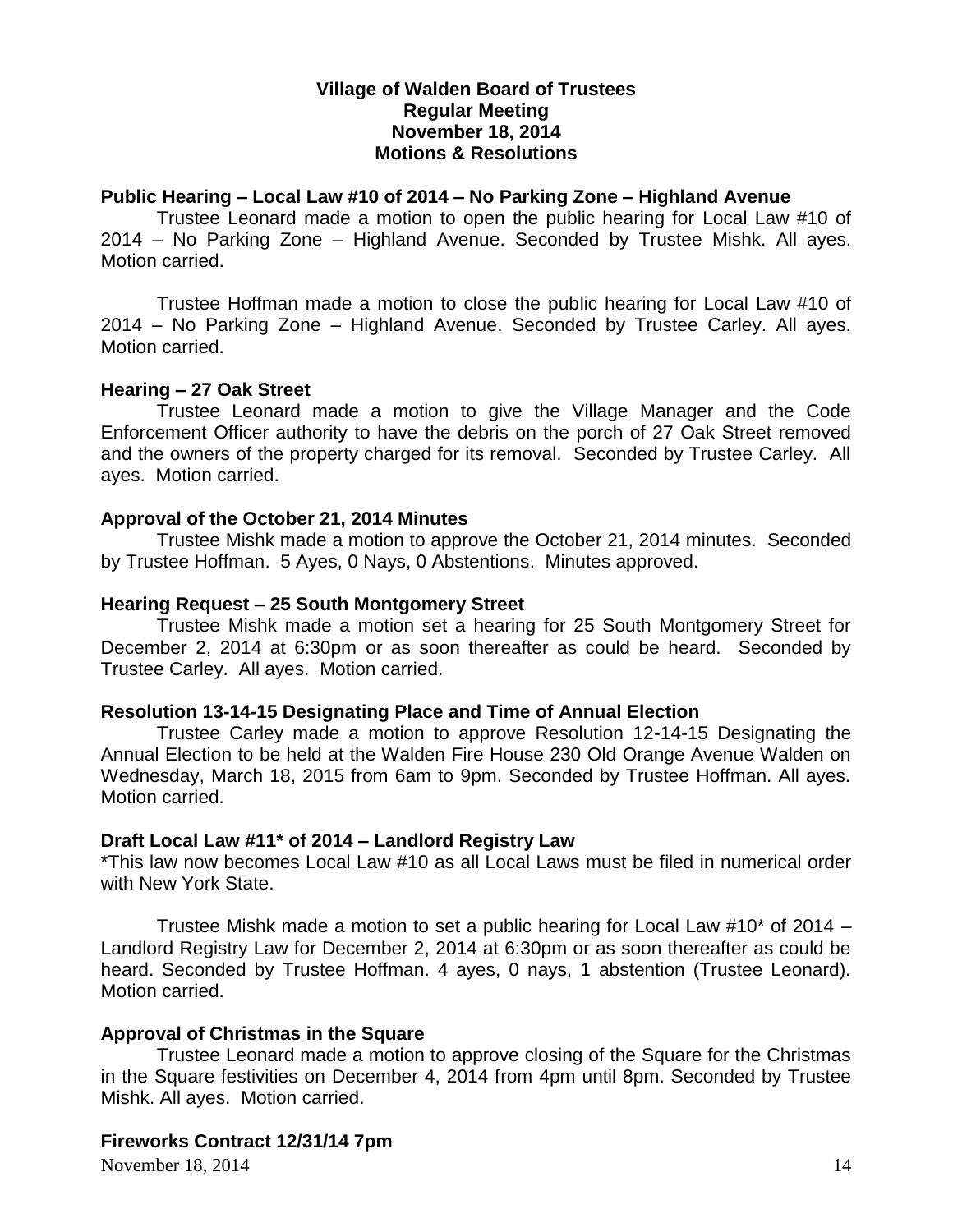## **Village of Walden Board of Trustees Regular Meeting November 18, 2014 Motions & Resolutions**

## **Public Hearing – Local Law #10 of 2014 – No Parking Zone – Highland Avenue**

Trustee Leonard made a motion to open the public hearing for Local Law #10 of 2014 – No Parking Zone – Highland Avenue. Seconded by Trustee Mishk. All ayes. Motion carried.

Trustee Hoffman made a motion to close the public hearing for Local Law #10 of 2014 – No Parking Zone – Highland Avenue. Seconded by Trustee Carley. All ayes. Motion carried.

## **Hearing – 27 Oak Street**

Trustee Leonard made a motion to give the Village Manager and the Code Enforcement Officer authority to have the debris on the porch of 27 Oak Street removed and the owners of the property charged for its removal. Seconded by Trustee Carley. All ayes. Motion carried.

## **Approval of the October 21, 2014 Minutes**

Trustee Mishk made a motion to approve the October 21, 2014 minutes. Seconded by Trustee Hoffman. 5 Ayes, 0 Nays, 0 Abstentions. Minutes approved.

## **Hearing Request – 25 South Montgomery Street**

Trustee Mishk made a motion set a hearing for 25 South Montgomery Street for December 2, 2014 at 6:30pm or as soon thereafter as could be heard. Seconded by Trustee Carley. All ayes. Motion carried.

## **Resolution 13-14-15 Designating Place and Time of Annual Election**

Trustee Carley made a motion to approve Resolution 12-14-15 Designating the Annual Election to be held at the Walden Fire House 230 Old Orange Avenue Walden on Wednesday, March 18, 2015 from 6am to 9pm. Seconded by Trustee Hoffman. All ayes. Motion carried.

## **Draft Local Law #11\* of 2014 – Landlord Registry Law**

\*This law now becomes Local Law #10 as all Local Laws must be filed in numerical order with New York State.

Trustee Mishk made a motion to set a public hearing for Local Law #10\* of 2014 – Landlord Registry Law for December 2, 2014 at 6:30pm or as soon thereafter as could be heard. Seconded by Trustee Hoffman. 4 ayes, 0 nays, 1 abstention (Trustee Leonard). Motion carried.

### **Approval of Christmas in the Square**

Trustee Leonard made a motion to approve closing of the Square for the Christmas in the Square festivities on December 4, 2014 from 4pm until 8pm. Seconded by Trustee Mishk. All ayes. Motion carried.

## **Fireworks Contract 12/31/14 7pm**

November 18, 2014 14